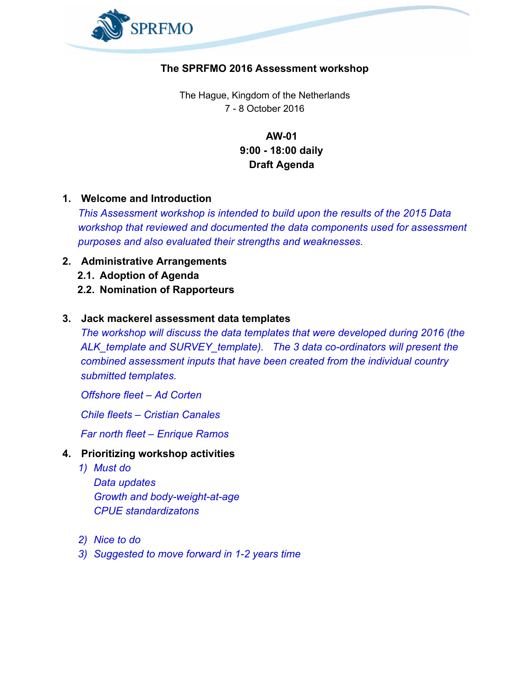

## The SPRFMO 2016 Assessment workshop

The Hague, Kingdom of the Netherlands 7 8 October 2016

> **AW-01** 9:00 18:00 daily Draft Agenda

1. Welcome and Introduction

*This Assessment workshop is intended to build upon the results of the 2015 Data workshop that reviewed and documented the data components used for assessment purposes and also evaluated their strengths and weaknesses.*

- 2. Administrative Arrangements
	- 2.1. Adoption of Agenda
	- 2.2. Nomination of Rapporteurs

## 3. Jack mackerel assessment data templates

*The workshop will discuss the data templates that were developed during 2016 (the ALK\_template and SURVEY\_template). The* 3 *data co-ordinators will present the combined assessment inputs that have been created from the individual country submitted templates.*

*Offshore fleet – Ad Corten*

*Chile fleets – Cristian Canales*

*Far north fleet – Enrique Ramos*

## 4. Prioritizing workshop activities

*1) Must do*

*Data updates Growth and body-weight-at-age CPUE standardizatons*

- *2) Nice to do*
- *3) Suggested to move forward in 12 years time*